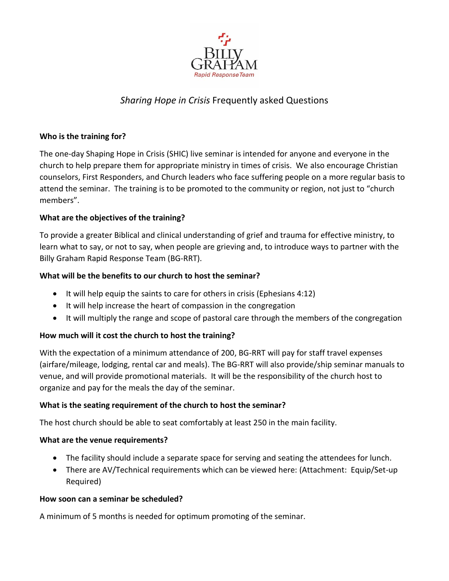

# *Sharing Hope in Crisis* Frequently asked Questions

#### **Who is the training for?**

The one-day Shaping Hope in Crisis (SHIC) live seminar is intended for anyone and everyone in the church to help prepare them for appropriate ministry in times of crisis. We also encourage Christian counselors, First Responders, and Church leaders who face suffering people on a more regular basis to attend the seminar. The training is to be promoted to the community or region, not just to "church members".

## **What are the objectives of the training?**

To provide a greater Biblical and clinical understanding of grief and trauma for effective ministry, to learn what to say, or not to say, when people are grieving and, to introduce ways to partner with the Billy Graham Rapid Response Team (BG-RRT).

## **What will be the benefits to our church to host the seminar?**

- It will help equip the saints to care for others in crisis (Ephesians 4:12)
- It will help increase the heart of compassion in the congregation
- It will multiply the range and scope of pastoral care through the members of the congregation

#### **How much will it cost the church to host the training?**

With the expectation of a minimum attendance of 200, BG-RRT will pay for staff travel expenses (airfare/mileage, lodging, rental car and meals). The BG-RRT will also provide/ship seminar manuals to venue, and will provide promotional materials. It will be the responsibility of the church host to organize and pay for the meals the day of the seminar.

#### **What is the seating requirement of the church to host the seminar?**

The host church should be able to seat comfortably at least 250 in the main facility.

#### **What are the venue requirements?**

- The facility should include a separate space for serving and seating the attendees for lunch.
- There are AV/Technical requirements which can be viewed here: (Attachment: Equip/Set-up Required)

#### **How soon can a seminar be scheduled?**

A minimum of 5 months is needed for optimum promoting of the seminar.